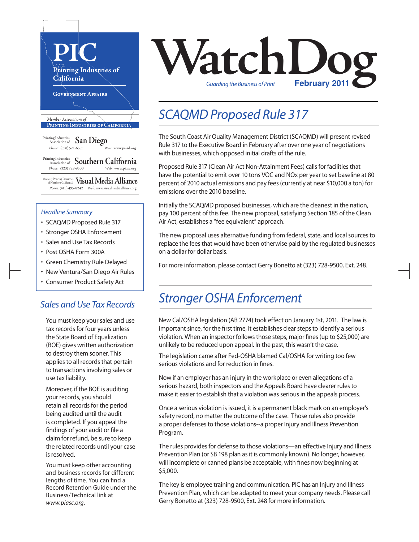

#### *Headline Summary*

- SCAQMD Proposed Rule 317
- Stronger OSHA Enforcement
- Sales and Use Tax Records
- Post OSHA Form 300A
- Green Chemistry Rule Delayed
- New Ventura/San Diego Air Rules
- Consumer Product Safety Act

#### *Sales and Use Tax Records*

You must keep your sales and use tax records for four years unless the State Board of Equalization (BOE) gives written authorization to destroy them sooner. This applies to all records that pertain to transactions involving sales or use tax liability.

Moreover, if the BOE is auditing your records, you should retain all records for the period being audited until the audit is completed. If you appeal the findings of your audit or file a claim for refund, be sure to keep the related records until your case is resolved.

You must keep other accounting and business records for different lengths of time. You can find a Record Retention Guide under the Business/Technical link at *www.piasc.org*.

# **VatchDoge Transform Repriet Transform Print** *Guarding the Business of Print*

### *SCAQMD Proposed Rule 317*

The South Coast Air Quality Management District (SCAQMD) will present revised Rule 317 to the Executive Board in February after over one year of negotiations with businesses, which opposed initial drafts of the rule.

Proposed Rule 317 (Clean Air Act Non-Attainment Fees) calls for facilities that have the potential to emit over 10 tons VOC and NOx per year to set baseline at 80 percent of 2010 actual emissions and pay fees(currently at near \$10,000 a ton) for emissions over the 2010 baseline.

Initially the SCAQMD proposed businesses, which are the cleanest in the nation, pay 100 percent of this fee. The new proposal, satisfying Section 185 of the Clean Air Act, establishes a "fee equivalent" approach.

The new proposal uses alternative funding from federal, state, and local sources to replace the fees that would have been otherwise paid by the regulated businesses on a dollar for dollar basis.

For more information, please contact Gerry Bonetto at (323) 728-9500, Ext. 248.

#### *Stronger OSHA Enforcement*

New Cal/OSHA legislation (AB 2774) took effect on January 1st, 2011. The law is important since, for the first time, it establishes clear steps to identify a serious violation. When an inspector follows those steps, major fines (up to \$25,000) are unlikely to be reduced upon appeal. In the past, this wasn't the case.

The legislation came after Fed-OSHA blamed Cal/OSHA for writing too few serious violations and for reduction in fines.

Now if an employer has an injury in the workplace or even allegations of a serious hazard, both inspectors and the Appeals Board have clearer rules to make it easier to establish that a violation was serious in the appeals process.

Once a serious violation is issued, it is a permanent black mark on an employer's safety record, no matter the outcome of the case. Those rules also provide a proper defenses to those violations--a proper Injury and Illness Prevention Program.

The rules provides for defense to those violations—an effective Injury and Illness Prevention Plan (or SB 198 plan as it is commonly known). No longer, however, will incomplete or canned plans be acceptable, with fines now beginning at \$5,000.

The key is employee training and communication. PIC has an Injury and Illness Prevention Plan, which can be adapted to meet your company needs. Please call Gerry Bonetto at (323) 728-9500, Ext. 248 for more information.